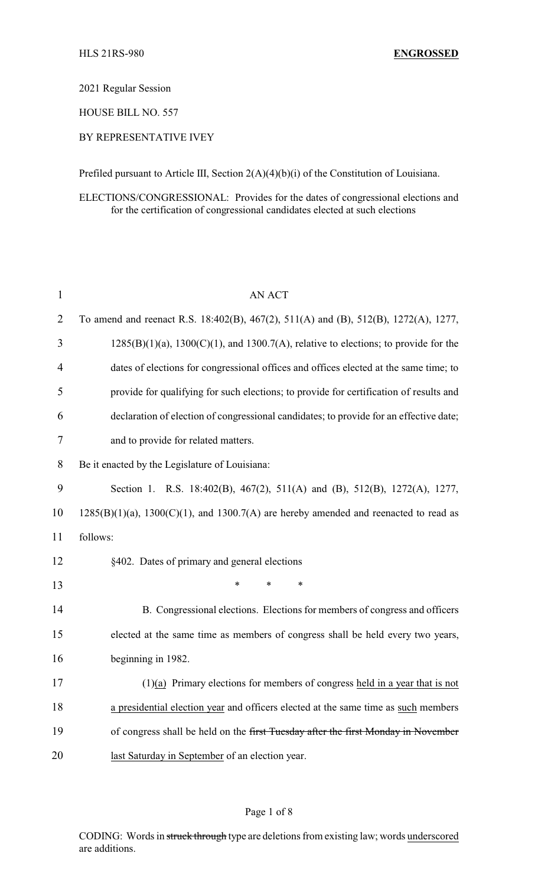2021 Regular Session

HOUSE BILL NO. 557

## BY REPRESENTATIVE IVEY

Prefiled pursuant to Article III, Section 2(A)(4)(b)(i) of the Constitution of Louisiana.

ELECTIONS/CONGRESSIONAL: Provides for the dates of congressional elections and for the certification of congressional candidates elected at such elections

| $\mathbf{1}$   | <b>AN ACT</b>                                                                                |
|----------------|----------------------------------------------------------------------------------------------|
| $\overline{2}$ | To amend and reenact R.S. 18:402(B), 467(2), 511(A) and (B), 512(B), 1272(A), 1277,          |
| 3              | $1285(B)(1)(a)$ , $1300(C)(1)$ , and $1300.7(A)$ , relative to elections; to provide for the |
| $\overline{4}$ | dates of elections for congressional offices and offices elected at the same time; to        |
| 5              | provide for qualifying for such elections; to provide for certification of results and       |
| 6              | declaration of election of congressional candidates; to provide for an effective date;       |
| 7              | and to provide for related matters.                                                          |
| 8              | Be it enacted by the Legislature of Louisiana:                                               |
| 9              | Section 1. R.S. 18:402(B), 467(2), 511(A) and (B), 512(B), 1272(A), 1277,                    |
| 10             | $1285(B)(1)(a)$ , $1300(C)(1)$ , and $1300.7(A)$ are hereby amended and reenacted to read as |
| 11             | follows:                                                                                     |
| 12             | §402. Dates of primary and general elections                                                 |
| 13             | $\ast$<br>*<br>*                                                                             |
| 14             | B. Congressional elections. Elections for members of congress and officers                   |
| 15             | elected at the same time as members of congress shall be held every two years,               |
| 16             | beginning in 1982.                                                                           |
| 17             | $(1)(a)$ Primary elections for members of congress held in a year that is not                |
| 18             | a presidential election year and officers elected at the same time as such members           |
| 19             | of congress shall be held on the first Tuesday after the first Monday in November            |
| 20             | last Saturday in September of an election year.                                              |

### Page 1 of 8

CODING: Words in struck through type are deletions from existing law; words underscored are additions.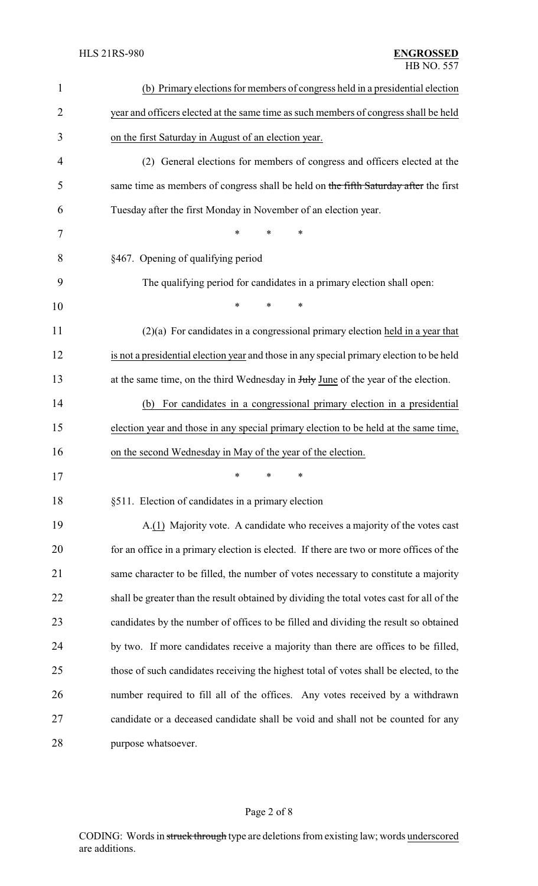| $\mathbf{1}$   | (b) Primary elections for members of congress held in a presidential election             |
|----------------|-------------------------------------------------------------------------------------------|
| $\overline{2}$ | year and officers elected at the same time as such members of congress shall be held      |
| 3              | on the first Saturday in August of an election year.                                      |
| $\overline{4}$ | (2) General elections for members of congress and officers elected at the                 |
| 5              | same time as members of congress shall be held on the fifth Saturday after the first      |
| 6              | Tuesday after the first Monday in November of an election year.                           |
| 7              | $\ast$<br>$\ast$<br>*                                                                     |
| 8              | §467. Opening of qualifying period                                                        |
| 9              | The qualifying period for candidates in a primary election shall open:                    |
| 10             | $\ast$<br>$\ast$<br>∗                                                                     |
| 11             | $(2)(a)$ For candidates in a congressional primary election held in a year that           |
| 12             | is not a presidential election year and those in any special primary election to be held  |
| 13             | at the same time, on the third Wednesday in July June of the year of the election.        |
| 14             | For candidates in a congressional primary election in a presidential<br>(b)               |
| 15             | election year and those in any special primary election to be held at the same time,      |
| 16             | on the second Wednesday in May of the year of the election.                               |
| 17             | ∗<br>∗<br>∗                                                                               |
| 18             | §511. Election of candidates in a primary election                                        |
| 19             | A.(1) Majority vote. A candidate who receives a majority of the votes cast                |
| 20             | for an office in a primary election is elected. If there are two or more offices of the   |
| 21             | same character to be filled, the number of votes necessary to constitute a majority       |
| 22             | shall be greater than the result obtained by dividing the total votes cast for all of the |
| 23             | candidates by the number of offices to be filled and dividing the result so obtained      |
| 24             | by two. If more candidates receive a majority than there are offices to be filled,        |
| 25             | those of such candidates receiving the highest total of votes shall be elected, to the    |
| 26             | number required to fill all of the offices. Any votes received by a withdrawn             |
| 27             | candidate or a deceased candidate shall be void and shall not be counted for any          |
| 28             | purpose whatsoever.                                                                       |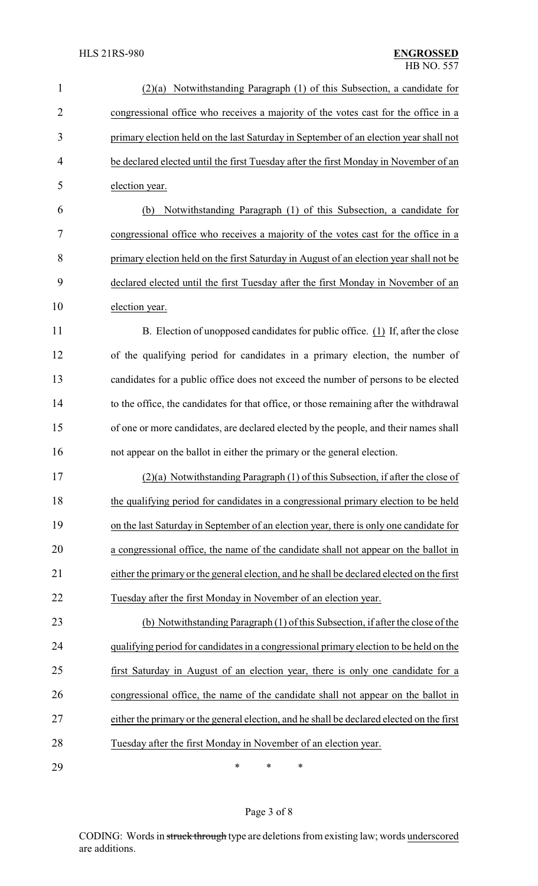| $\mathbf{1}$   | Notwithstanding Paragraph (1) of this Subsection, a candidate for<br>(2)(a)               |  |
|----------------|-------------------------------------------------------------------------------------------|--|
| $\overline{2}$ | congressional office who receives a majority of the votes cast for the office in a        |  |
| 3              | primary election held on the last Saturday in September of an election year shall not     |  |
| $\overline{4}$ | be declared elected until the first Tuesday after the first Monday in November of an      |  |
| 5              | election year.                                                                            |  |
| 6              | Notwithstanding Paragraph (1) of this Subsection, a candidate for<br>(b)                  |  |
| 7              | congressional office who receives a majority of the votes cast for the office in a        |  |
| 8              | primary election held on the first Saturday in August of an election year shall not be    |  |
| 9              | declared elected until the first Tuesday after the first Monday in November of an         |  |
| 10             | election year.                                                                            |  |
| 11             | B. Election of unopposed candidates for public office. (1) If, after the close            |  |
| 12             | of the qualifying period for candidates in a primary election, the number of              |  |
| 13             | candidates for a public office does not exceed the number of persons to be elected        |  |
| 14             | to the office, the candidates for that office, or those remaining after the withdrawal    |  |
| 15             | of one or more candidates, are declared elected by the people, and their names shall      |  |
| 16             | not appear on the ballot in either the primary or the general election.                   |  |
| 17             | $(2)(a)$ Notwithstanding Paragraph $(1)$ of this Subsection, if after the close of        |  |
| 18             | the qualifying period for candidates in a congressional primary election to be held       |  |
| 19             | on the last Saturday in September of an election year, there is only one candidate for    |  |
| 20             | a congressional office, the name of the candidate shall not appear on the ballot in       |  |
| 21             | either the primary or the general election, and he shall be declared elected on the first |  |
| 22             | Tuesday after the first Monday in November of an election year.                           |  |
| 23             | (b) Notwithstanding Paragraph (1) of this Subsection, if after the close of the           |  |
| 24             | qualifying period for candidates in a congressional primary election to be held on the    |  |
| 25             | first Saturday in August of an election year, there is only one candidate for a           |  |
| 26             | congressional office, the name of the candidate shall not appear on the ballot in         |  |
| 27             | either the primary or the general election, and he shall be declared elected on the first |  |
| 28             | Tuesday after the first Monday in November of an election year.                           |  |
| 29             | ∗<br>∗<br>∗                                                                               |  |

Page 3 of 8

CODING: Words in struck through type are deletions from existing law; words underscored are additions.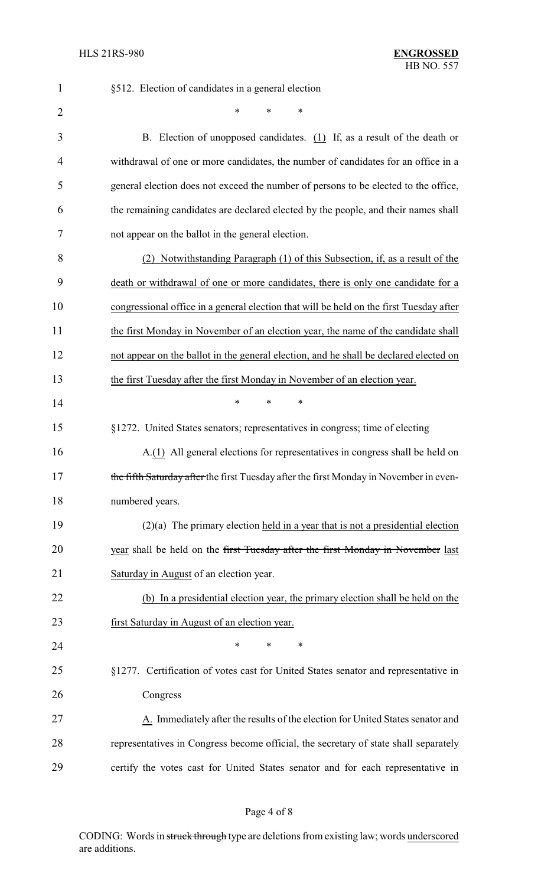| $\mathbf{1}$   | §512. Election of candidates in a general election                                      |
|----------------|-----------------------------------------------------------------------------------------|
| $\overline{2}$ | $\ast$<br>∗                                                                             |
| 3              | B. Election of unopposed candidates. $(1)$ If, as a result of the death or              |
| 4              | withdrawal of one or more candidates, the number of candidates for an office in a       |
| 5              | general election does not exceed the number of persons to be elected to the office,     |
| 6              | the remaining candidates are declared elected by the people, and their names shall      |
| 7              | not appear on the ballot in the general election.                                       |
| 8              | (2) Notwithstanding Paragraph (1) of this Subsection, if, as a result of the            |
| 9              | death or withdrawal of one or more candidates, there is only one candidate for a        |
| 10             | congressional office in a general election that will be held on the first Tuesday after |
| 11             | the first Monday in November of an election year, the name of the candidate shall       |
| 12             | not appear on the ballot in the general election, and he shall be declared elected on   |
| 13             | the first Tuesday after the first Monday in November of an election year.               |
| 14             | *<br>$\ast$<br>∗                                                                        |
| 15             | §1272. United States senators; representatives in congress; time of electing            |
| 16             | A.(1) All general elections for representatives in congress shall be held on            |
| 17             | the fifth Saturday after the first Tuesday after the first Monday in November in even-  |
| 18             | numbered years.                                                                         |
| 19             | $(2)(a)$ The primary election held in a year that is not a presidential election        |
| 20             | year shall be held on the first Tuesday after the first Monday in November last         |
| 21             | Saturday in August of an election year.                                                 |
| 22             | (b) In a presidential election year, the primary election shall be held on the          |
| 23             | first Saturday in August of an election year.                                           |
| 24             | *<br>$\ast$<br>$\ast$                                                                   |
| 25             | §1277. Certification of votes cast for United States senator and representative in      |
| 26             | Congress                                                                                |
| 27             | A. Immediately after the results of the election for United States senator and          |
| 28             | representatives in Congress become official, the secretary of state shall separately    |
| 29             | certify the votes cast for United States senator and for each representative in         |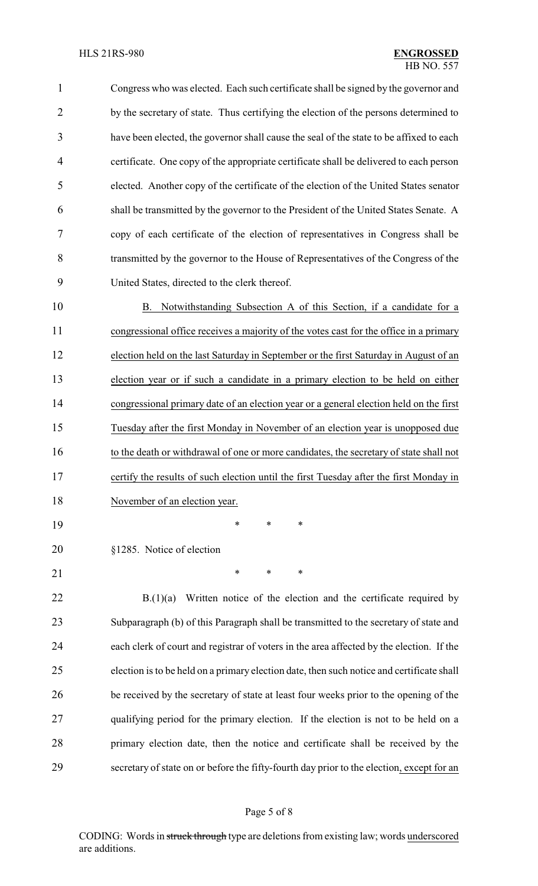Congress who was elected. Each such certificate shall be signed by the governor and 2 by the secretary of state. Thus certifying the election of the persons determined to have been elected, the governor shall cause the seal of the state to be affixed to each certificate. One copy of the appropriate certificate shall be delivered to each person elected. Another copy of the certificate of the election of the United States senator shall be transmitted by the governor to the President of the United States Senate. A copy of each certificate of the election of representatives in Congress shall be transmitted by the governor to the House of Representatives of the Congress of the United States, directed to the clerk thereof.

 B. Notwithstanding Subsection A of this Section, if a candidate for a congressional office receives a majority of the votes cast for the office in a primary election held on the last Saturday in September or the first Saturday in August of an election year or if such a candidate in a primary election to be held on either congressional primary date of an election year or a general election held on the first Tuesday after the first Monday in November of an election year is unopposed due 16 to the death or withdrawal of one or more candidates, the secretary of state shall not certify the results of such election until the first Tuesday after the first Monday in 18 November of an election year.

\* \* \*

- §1285. Notice of election
- 

21 \* \* \* \*

22 B.(1)(a) Written notice of the election and the certificate required by Subparagraph (b) of this Paragraph shall be transmitted to the secretary of state and each clerk of court and registrar of voters in the area affected by the election. If the election is to be held on a primary election date, then such notice and certificate shall be received by the secretary of state at least four weeks prior to the opening of the qualifying period for the primary election. If the election is not to be held on a primary election date, then the notice and certificate shall be received by the secretary of state on or before the fifty-fourth day prior to the election, except for an

CODING: Words in struck through type are deletions from existing law; words underscored are additions.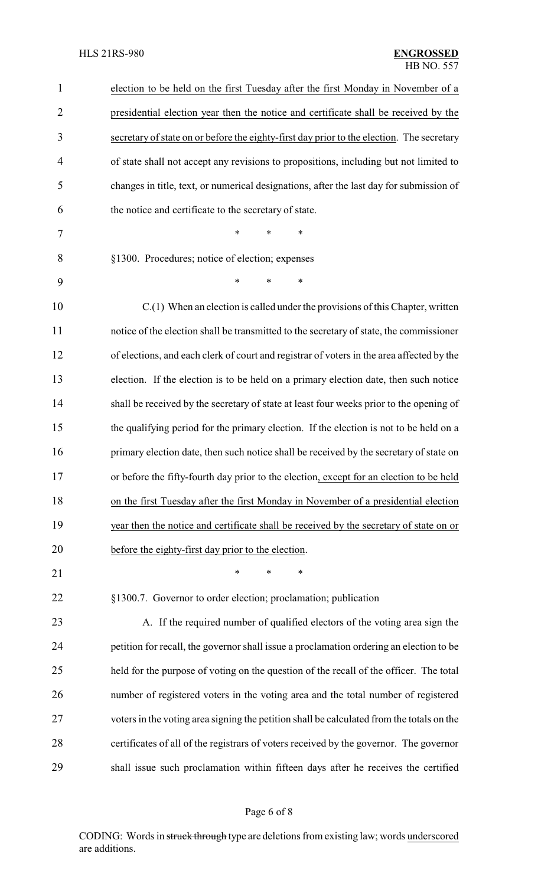| 1              | election to be held on the first Tuesday after the first Monday in November of a          |
|----------------|-------------------------------------------------------------------------------------------|
| $\overline{2}$ | presidential election year then the notice and certificate shall be received by the       |
| 3              | secretary of state on or before the eighty-first day prior to the election. The secretary |
| $\overline{4}$ | of state shall not accept any revisions to propositions, including but not limited to     |
| 5              | changes in title, text, or numerical designations, after the last day for submission of   |
| 6              | the notice and certificate to the secretary of state.                                     |
| 7              | *<br>$\ast$<br>∗                                                                          |
| 8              | §1300. Procedures; notice of election; expenses                                           |
| 9              | $\ast$<br>$\ast$<br>∗                                                                     |
| 10             | $C(1)$ When an election is called under the provisions of this Chapter, written           |
| 11             | notice of the election shall be transmitted to the secretary of state, the commissioner   |
| 12             | of elections, and each clerk of court and registrar of voters in the area affected by the |
| 13             | election. If the election is to be held on a primary election date, then such notice      |
| 14             | shall be received by the secretary of state at least four weeks prior to the opening of   |
| 15             | the qualifying period for the primary election. If the election is not to be held on a    |
| 16             | primary election date, then such notice shall be received by the secretary of state on    |
| 17             | or before the fifty-fourth day prior to the election, except for an election to be held   |
| 18             | on the first Tuesday after the first Monday in November of a presidential election        |
| 19             | year then the notice and certificate shall be received by the secretary of state on or    |
| 20             | before the eighty-first day prior to the election.                                        |
| 21             | ∗<br>*<br>*                                                                               |
| 22             | §1300.7. Governor to order election; proclamation; publication                            |
| 23             | A. If the required number of qualified electors of the voting area sign the               |
| 24             | petition for recall, the governor shall issue a proclamation ordering an election to be   |
| 25             | held for the purpose of voting on the question of the recall of the officer. The total    |
| 26             | number of registered voters in the voting area and the total number of registered         |
| 27             | voters in the voting area signing the petition shall be calculated from the totals on the |
| 28             | certificates of all of the registrars of voters received by the governor. The governor    |
| 29             | shall issue such proclamation within fifteen days after he receives the certified         |

# Page 6 of 8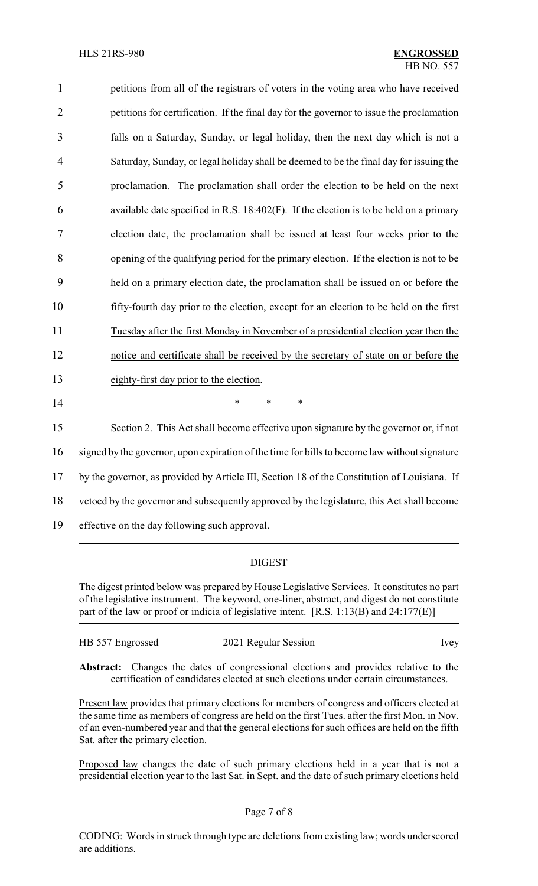| $\mathbf{1}$   | petitions from all of the registrars of voters in the voting area who have received           |
|----------------|-----------------------------------------------------------------------------------------------|
| $\overline{2}$ | petitions for certification. If the final day for the governor to issue the proclamation      |
| 3              | falls on a Saturday, Sunday, or legal holiday, then the next day which is not a               |
| $\overline{4}$ | Saturday, Sunday, or legal holiday shall be deemed to be the final day for issuing the        |
| 5              | proclamation. The proclamation shall order the election to be held on the next                |
| 6              | available date specified in R.S. 18:402(F). If the election is to be held on a primary        |
| $\overline{7}$ | election date, the proclamation shall be issued at least four weeks prior to the              |
| 8              | opening of the qualifying period for the primary election. If the election is not to be       |
| 9              | held on a primary election date, the proclamation shall be issued on or before the            |
| 10             | fifty-fourth day prior to the election, except for an election to be held on the first        |
| 11             | Tuesday after the first Monday in November of a presidential election year then the           |
| 12             | notice and certificate shall be received by the secretary of state on or before the           |
| 13             | eighty-first day prior to the election.                                                       |
| 14             | *<br>$\ast$<br>*                                                                              |
| 15             | Section 2. This Act shall become effective upon signature by the governor or, if not          |
| 16             | signed by the governor, upon expiration of the time for bills to become law without signature |
| 17             | by the governor, as provided by Article III, Section 18 of the Constitution of Louisiana. If  |
| 18             | vetoed by the governor and subsequently approved by the legislature, this Act shall become    |

19 effective on the day following such approval.

### DIGEST

The digest printed below was prepared by House Legislative Services. It constitutes no part of the legislative instrument. The keyword, one-liner, abstract, and digest do not constitute part of the law or proof or indicia of legislative intent. [R.S. 1:13(B) and 24:177(E)]

| HB 557 Engrossed | 2021 Regular Session | <i>lvey</i> |
|------------------|----------------------|-------------|
|                  |                      |             |

**Abstract:** Changes the dates of congressional elections and provides relative to the certification of candidates elected at such elections under certain circumstances.

Present law provides that primary elections for members of congress and officers elected at the same time as members of congress are held on the first Tues. after the first Mon. in Nov. of an even-numbered year and that the general elections for such offices are held on the fifth Sat. after the primary election.

Proposed law changes the date of such primary elections held in a year that is not a presidential election year to the last Sat. in Sept. and the date of such primary elections held